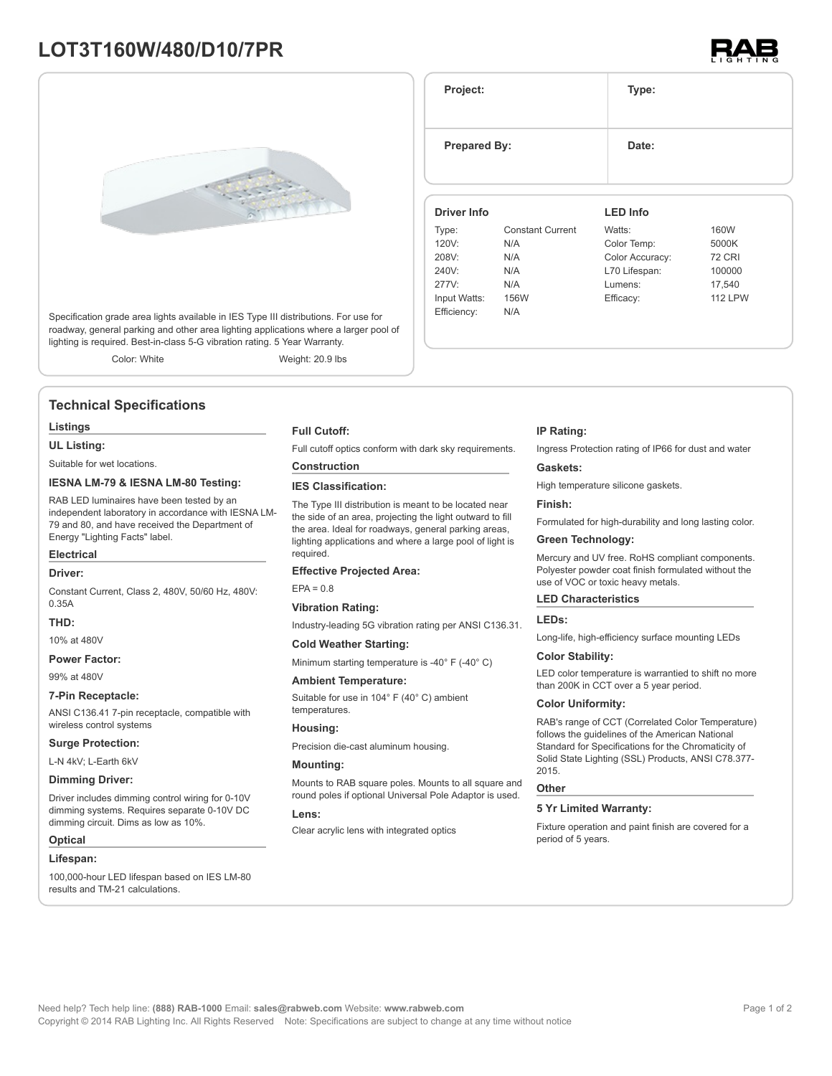# **LOT3T160W/480/D10/7PR**



Specification grade area lights available in IES Type III distributions. For use for roadway, general parking and other area lighting applications where a larger pool of lighting is required. Best-in-class 5-G vibration rating. 5 Year Warranty.

Color: White Weight: 20.9 lbs

### **Technical Specifications**

#### **Listings**

**UL Listing:**

Suitable for wet locations.

### **IESNA LM-79 & IESNA LM-80 Testing:**

RAB LED luminaires have been tested by an independent laboratory in accordance with IESNA LM-79 and 80, and have received the Department of Energy "Lighting Facts" label.

## **Electrical**

#### **Driver:**

Constant Current, Class 2, 480V, 50/60 Hz, 480V: 0.35A

### **THD:**

10% at 480V

**Power Factor:**

99% at 480V

#### **7-Pin Receptacle:**

ANSI C136.41 7-pin receptacle, compatible with wireless control systems

#### **Surge Protection:**

L-N 4kV; L-Earth 6kV

#### **Dimming Driver:**

Driver includes dimming control wiring for 0-10V dimming systems. Requires separate 0-10V DC dimming circuit. Dims as low as 10%.

#### **Optical**

#### **Lifespan:**

100,000-hour LED lifespan based on IES LM-80 results and TM-21 calculations.

#### **Full Cutoff:**

Full cutoff optics conform with dark sky requirements.

### **Construction**

**IES Classification:**

The Type III distribution is meant to be located near the side of an area, projecting the light outward to fill the area. Ideal for roadways, general parking areas, lighting applications and where a large pool of light is required.

#### **Effective Projected Area:**

 $EPA = 0.8$ 

### **Vibration Rating:** Industry-leading 5G vibration rating per ANSI C136.31.

### **Cold Weather Starting:**

Minimum starting temperature is -40° F (-40° C)

#### **Ambient Temperature:**

Suitable for use in 104° F (40° C) ambient temperatures.

#### **Housing:**

Precision die-cast aluminum housing.

#### **Mounting:**

Mounts to RAB square poles. Mounts to all square and round poles if optional Universal Pole Adaptor is used.

#### **Lens:**

Clear acrylic lens with integrated optics

#### **IP Rating:**

Ingress Protection rating of IP66 for dust and water

#### **Gaskets:**

High temperature silicone gaskets.

#### **Finish:**

Formulated for high-durability and long lasting color.

### **Green Technology:**

Mercury and UV free. RoHS compliant components. Polyester powder coat finish formulated without the use of VOC or toxic heavy metals.

#### **LED Characteristics**

#### **LEDs:**

Long-life, high-efficiency surface mounting LEDs

#### **Color Stability:**

LED color temperature is warrantied to shift no more than 200K in CCT over a 5 year period.

#### **Color Uniformity:**

RAB's range of CCT (Correlated Color Temperature) follows the guidelines of the American National Standard for Specifications for the Chromaticity of Solid State Lighting (SSL) Products, ANSI C78.377- 2015.

#### **Other**

### **5 Yr Limited Warranty:**

Fixture operation and paint finish are covered for a period of 5 years.

### Type: Constant Current 120V: N/A Watts: 160W Color Temp: 5000K

**Project: Type:**

**Prepared By:** Date:

**Driver Info**

| 208V:        | N/A  | Color Accuracy: | <b>72 CRI</b>  |
|--------------|------|-----------------|----------------|
| 240V:        | N/A  | L70 Lifespan:   | 100000         |
| 277V:        | N/A  | Lumens:         | 17.540         |
| Input Watts: | 156W | Efficacy:       | <b>112 LPW</b> |
| Efficiency:  | N/A  |                 |                |

**LED Info**